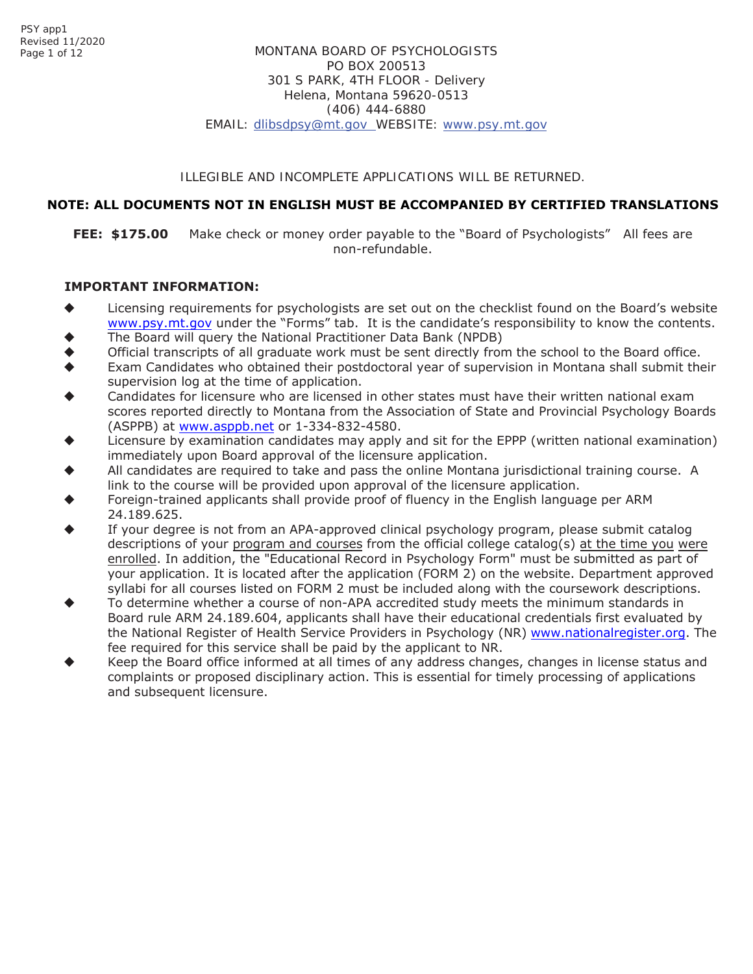# ILLEGIBLE AND INCOMPLETE APPLICATIONS WILL BE RETURNED.

# **NOTE: ALL DOCUMENTS NOT IN ENGLISH MUST BE ACCOMPANIED BY CERTIFIED TRANSLATIONS**

**FEE: \$175.00** Make check or money order payable to the "Board of Psychologists" All fees are non-refundable.

# **IMPORTANT INFORMATION:**

- Licensing requirements for psychologists are set out on the checklist found on the Board's website www.psy.mt.gov under the "Forms" tab. It is the candidate's responsibility to know the contents.
- The Board will query the National Practitioner Data Bank (NPDB)
- Official transcripts of all graduate work must be sent directly from the school to the Board office.
- Exam Candidates who obtained their postdoctoral year of supervision in Montana shall submit their supervision log at the time of application.
- Candidates for licensure who are licensed in other states must have their written national exam scores reported directly to Montana from the Association of State and Provincial Psychology Boards (ASPPB) at www.asppb.net or 1-334-832-4580.
- Licensure by examination candidates may apply and sit for the EPPP (written national examination) immediately upon Board approval of the licensure application.
- All candidates are required to take and pass the online Montana jurisdictional training course. A link to the course will be provided upon approval of the licensure application.
- Foreign-trained applicants shall provide proof of fluency in the English language per ARM 24.189.625.
- If your degree is not from an APA-approved clinical psychology program, please submit catalog descriptions of your program and courses from the official college catalog(s) at the time you were enrolled. In addition, the "Educational Record in Psychology Form" must be submitted as part of your application. It is located after the application (FORM 2) on the website. Department approved syllabi for all courses listed on FORM 2 must be included along with the coursework descriptions.
- To determine whether a course of non-APA accredited study meets the minimum standards in Board rule ARM 24.189.604, applicants shall have their educational credentials first evaluated by the National Register of Health Service Providers in Psychology (NR) www.nationalregister.org. The fee required for this service shall be paid by the applicant to NR.
- Keep the Board office informed at all times of any address changes, changes in license status and complaints or proposed disciplinary action. This is essential for timely processing of applications and subsequent licensure.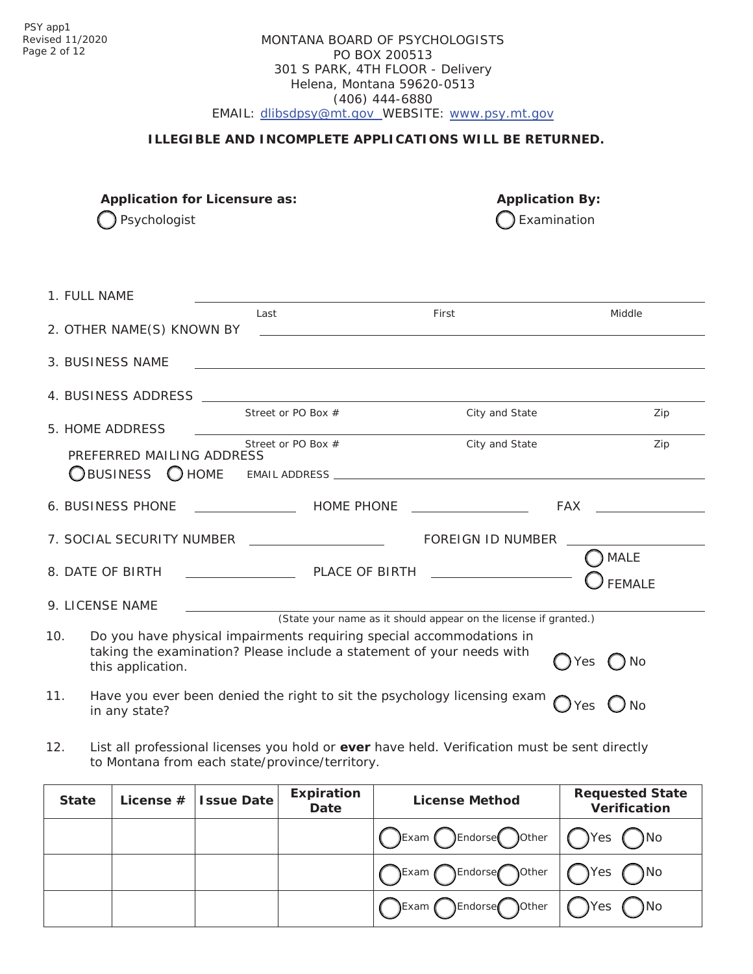# MONTANA BOARD OF PSYCHOLOGISTS PO BOX 200513 301 S PARK, 4TH FLOOR - Delivery Helena, Montana 59620-0513 (406) 444-6880 EMAIL: [dlibsdpsy@mt.gov](mailto:dlibsdpsy@mt.gov) WEBSITE: [www.psy.mt.gov](http://www.psy.mt.gov/)

# **ILLEGIBLE AND INCOMPLETE APPLICATIONS WILL BE RETURNED.**

**Application for Licensure as: Application By:**

 $\bigcap$  Psychologist  $\bigcap$  Examination

|     | 1. FULL NAME              |                                                                                                                                               |                                                                                                                            |                                                                                                                                                                                                                                |
|-----|---------------------------|-----------------------------------------------------------------------------------------------------------------------------------------------|----------------------------------------------------------------------------------------------------------------------------|--------------------------------------------------------------------------------------------------------------------------------------------------------------------------------------------------------------------------------|
|     |                           | Last                                                                                                                                          | First                                                                                                                      | Middle                                                                                                                                                                                                                         |
|     | 2. OTHER NAME(S) KNOWN BY |                                                                                                                                               | <u>and the contract of the contract of the contract of the contract of the contract of the contract of the contract of</u> |                                                                                                                                                                                                                                |
|     | 3. BUSINESS NAME          |                                                                                                                                               | <u> 1989 - Johann Stoff, amerikansk politiker (d. 1989)</u>                                                                |                                                                                                                                                                                                                                |
|     |                           |                                                                                                                                               |                                                                                                                            |                                                                                                                                                                                                                                |
|     | 5. HOME ADDRESS           | Street or PO Box $#$                                                                                                                          | City and State                                                                                                             | Zip                                                                                                                                                                                                                            |
|     | PREFERRED MAILING ADDRESS | Street or PO Box #                                                                                                                            | City and State                                                                                                             | Zip                                                                                                                                                                                                                            |
|     |                           |                                                                                                                                               |                                                                                                                            |                                                                                                                                                                                                                                |
|     |                           |                                                                                                                                               |                                                                                                                            | FAX and the state of the state of the state of the state of the state of the state of the state of the state of the state of the state of the state of the state of the state of the state of the state of the state of the st |
|     |                           | 7. SOCIAL SECURITY NUMBER ___________________                                                                                                 | FOREIGN ID NUMBER                                                                                                          |                                                                                                                                                                                                                                |
|     |                           |                                                                                                                                               |                                                                                                                            | <b>MALE</b><br><b>FEMALE</b>                                                                                                                                                                                                   |
|     | 9. LICENSE NAME           |                                                                                                                                               |                                                                                                                            |                                                                                                                                                                                                                                |
|     |                           |                                                                                                                                               | (State your name as it should appear on the license if granted.)                                                           |                                                                                                                                                                                                                                |
| 10. | this application.         | Do you have physical impairments requiring special accommodations in<br>taking the examination? Please include a statement of your needs with |                                                                                                                            | $()$ No<br>) Yes                                                                                                                                                                                                               |
| 11. | in any state?             |                                                                                                                                               | Have you ever been denied the right to sit the psychology licensing exam                                                   | Yes<br><b>No</b>                                                                                                                                                                                                               |

12. List all professional licenses you hold or **ever** have held. Verification must be sent directly to Montana from each state/province/territory.

| <b>State</b> | License $#$ Issue Date | <b>Expiration</b><br>Date | <b>License Method</b>            | <b>Requested State</b><br><b>Verification</b> |
|--------------|------------------------|---------------------------|----------------------------------|-----------------------------------------------|
|              |                        |                           | CExam CEndorse Oother   OYes ONo |                                               |
|              |                        |                           | ○Exam CEndorse Oother   OYes ONo |                                               |
|              |                        |                           | ○Exam OEndorse Oother   ○Yes ○No |                                               |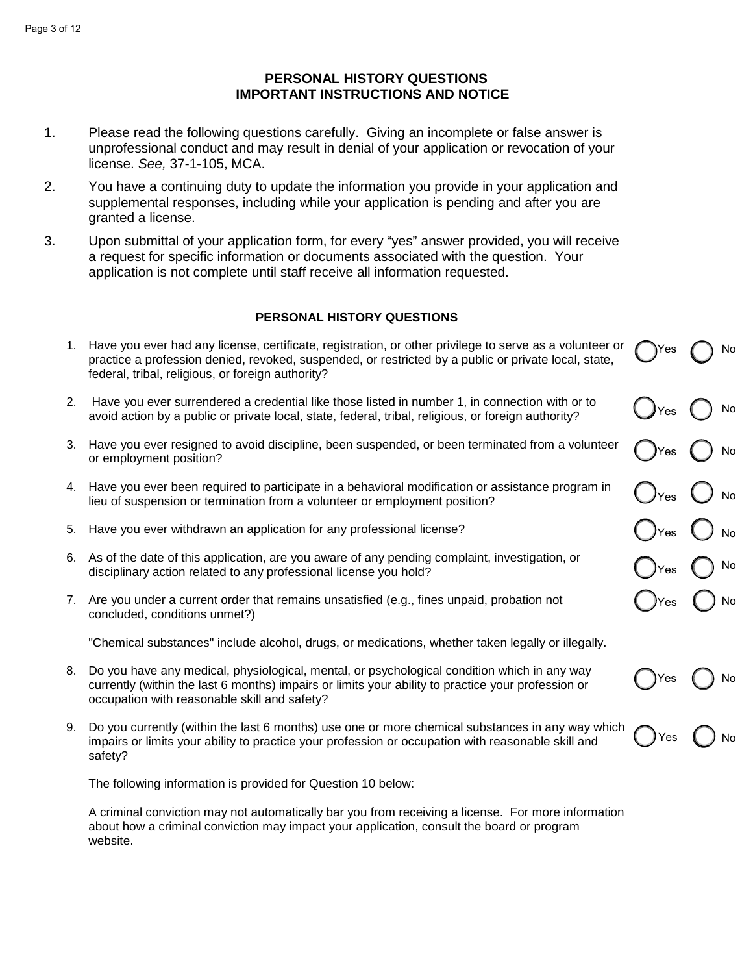#### Page 3 of 12

# **PERSONAL HISTORY QUESTIONS IMPORTANT INSTRUCTIONS AND NOTICE**

- 1. Please read the following questions carefully. Giving an incomplete or false answer is unprofessional conduct and may result in denial of your application or revocation of your license. *See,* 37-1-105, MCA.
- 2. You have a continuing duty to update the information you provide in your application and supplemental responses, including while your application is pending and after you are granted a license.
- 3. Upon submittal of your application form, for every "yes" answer provided, you will receive a request for specific information or documents associated with the question. Your application is not complete until staff receive all information requested.

# **PERSONAL HISTORY QUESTIONS**

|    | 1. Have you ever had any license, certificate, registration, or other privilege to serve as a volunteer or<br>practice a profession denied, revoked, suspended, or restricted by a public or private local, state,<br>federal, tribal, religious, or foreign authority? | <b>IYes</b>               | No            |
|----|-------------------------------------------------------------------------------------------------------------------------------------------------------------------------------------------------------------------------------------------------------------------------|---------------------------|---------------|
| 2. | Have you ever surrendered a credential like those listed in number 1, in connection with or to<br>avoid action by a public or private local, state, federal, tribal, religious, or foreign authority?                                                                   | $\int$ Yes                | $\mathsf{No}$ |
| 3. | Have you ever resigned to avoid discipline, been suspended, or been terminated from a volunteer<br>or employment position?                                                                                                                                              | yes <i>y</i>              | No            |
|    | 4. Have you ever been required to participate in a behavioral modification or assistance program in<br>lieu of suspension or termination from a volunteer or employment position?                                                                                       | $\bigcirc$ <sub>Yes</sub> | $\bigcup$ No  |
| 5. | Have you ever withdrawn an application for any professional license?                                                                                                                                                                                                    | )Yes                      |               |
|    | 6. As of the date of this application, are you aware of any pending complaint, investigation, or<br>disciplinary action related to any professional license you hold?                                                                                                   | )Yes                      | ) No          |
| 7. | Are you under a current order that remains unsatisfied (e.g., fines unpaid, probation not<br>concluded, conditions unmet?)                                                                                                                                              | )Yes                      | No            |
|    | "Chemical substances" include alcohol, drugs, or medications, whether taken legally or illegally.                                                                                                                                                                       |                           |               |
| 8. | Do you have any medical, physiological, mental, or psychological condition which in any way<br>currently (within the last 6 months) impairs or limits your ability to practice your profession or<br>occupation with reasonable skill and safety?                       | Yes                       | No            |
| 9. | Do you currently (within the last 6 months) use one or more chemical substances in any way which<br>impairs or limits your ability to practice your profession or occupation with reasonable skill and<br>safety?                                                       | Yes                       | <b>No</b>     |
|    |                                                                                                                                                                                                                                                                         |                           |               |

The following information is provided for Question 10 below:

A criminal conviction may not automatically bar you from receiving a license. For more information about how a criminal conviction may impact your application, consult the board or program website.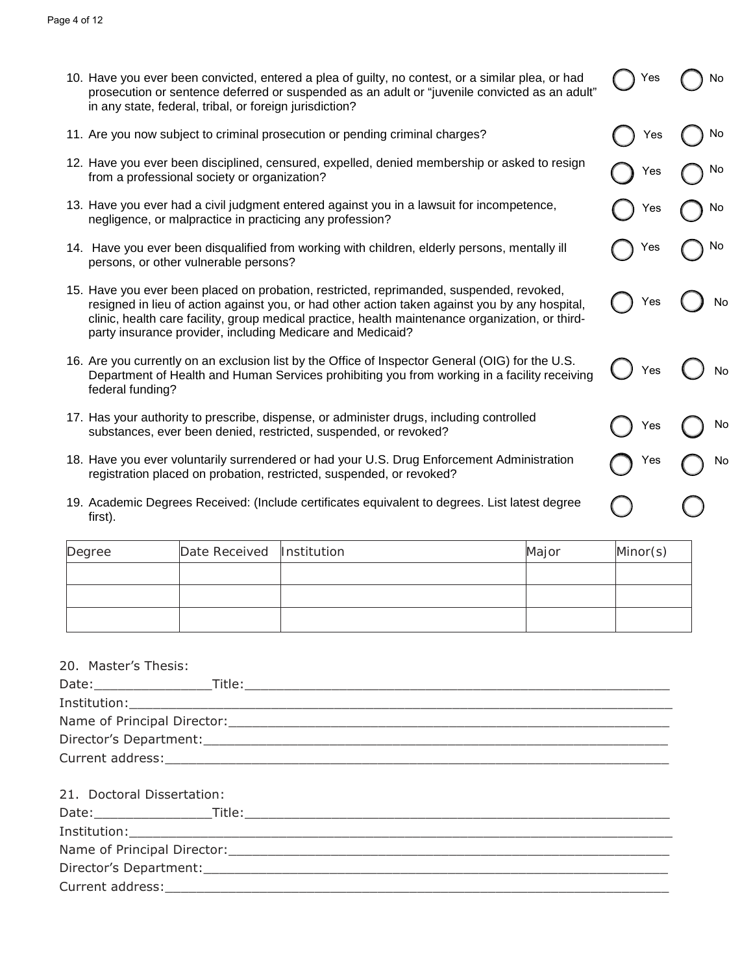| 10. Have you ever been convicted, entered a plea of guilty, no contest, or a similar plea, or had |
|---------------------------------------------------------------------------------------------------|
| prosecution or sentence deferred or suspended as an adult or "juvenile convicted as an adult"     |
| in any state, federal, tribal, or foreign jurisdiction?                                           |

Yes

Yes ( ) No

Yes ( ) No

Yes no

Yes  $\bigcap$  No

Yes ( ) No

Yes ( ) No

Yes ( ) No

Yes no

- 11. Are you now subject to criminal prosecution or pending criminal charges?
- 12. Have you ever been disciplined, censured, expelled, denied membership or asked to resign from a professional society or organization?
- 13. Have you ever had a civil judgment entered against you in a lawsuit for incompetence, negligence, or malpractice in practicing any profession?
- 14. Have you ever been disqualified from working with children, elderly persons, mentally ill persons, or other vulnerable persons?
- 15. Have you ever been placed on probation, restricted, reprimanded, suspended, revoked, resigned in lieu of action against you, or had other action taken against you by any hospital, clinic, health care facility, group medical practice, health maintenance organization, or thirdparty insurance provider, including Medicare and Medicaid?
- 16. Are you currently on an exclusion list by the Office of Inspector General (OIG) for the U.S. Department of Health and Human Services prohibiting you from working in a facility receiving federal funding?
- 17. Has your authority to prescribe, dispense, or administer drugs, including controlled substances, ever been denied, restricted, suspended, or revoked?
- 18. Have you ever voluntarily surrendered or had your U.S. Drug Enforcement Administration registration placed on probation, restricted, suspended, or revoked?
- 19. Academic Degrees Received: (Include certificates equivalent to degrees. List latest degree first).

| Degree | Date Received  Institution | Major | Minor(s) |
|--------|----------------------------|-------|----------|
|        |                            |       |          |
|        |                            |       |          |
|        |                            |       |          |

| 20. | Master's Thesis: |  |
|-----|------------------|--|
|-----|------------------|--|

| Date:                       | Title: |
|-----------------------------|--------|
| Institution:                |        |
| Name of Principal Director: |        |
| Director's Department:      |        |
| Current address:            |        |

| 21. Doctoral Dissertation: |                                                                                                                                                                                                                               |  |
|----------------------------|-------------------------------------------------------------------------------------------------------------------------------------------------------------------------------------------------------------------------------|--|
|                            |                                                                                                                                                                                                                               |  |
|                            |                                                                                                                                                                                                                               |  |
|                            | Name of Principal Director: Name of Principal Director:                                                                                                                                                                       |  |
|                            |                                                                                                                                                                                                                               |  |
|                            | Current address: the contract of the contract of the contract of the contract of the contract of the contract of the contract of the contract of the contract of the contract of the contract of the contract of the contract |  |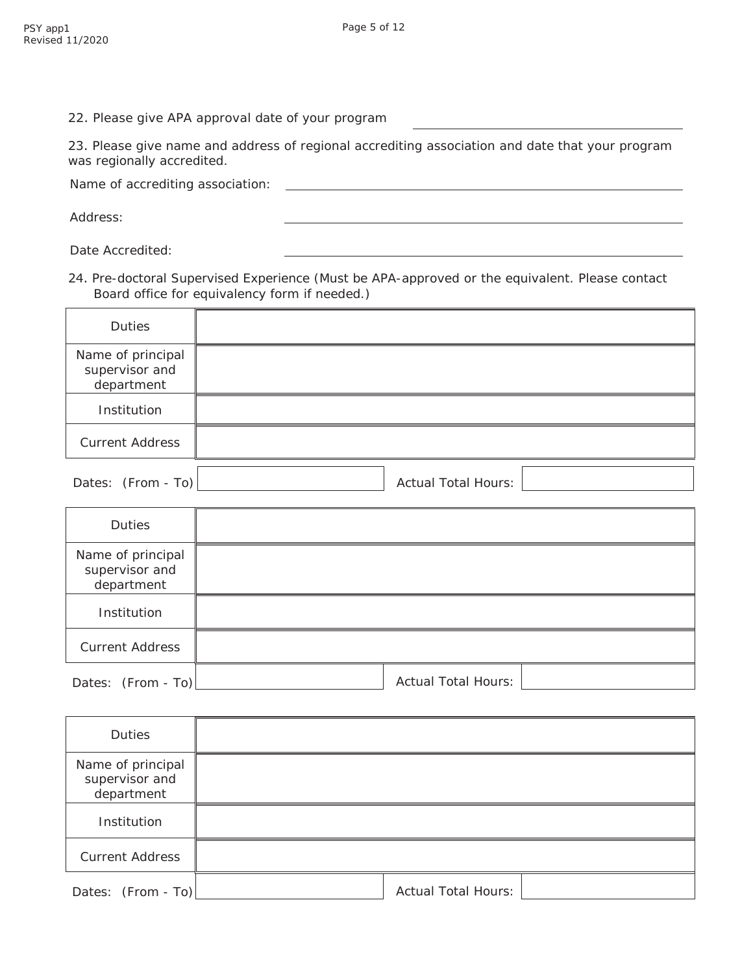22. Please give APA approval date of your program

23. Please give name and address of regional accrediting association and date that your program was regionally accredited.

Name of accrediting association:

Address:

Date Accredited:

24. Pre-doctoral Supervised Experience (Must be APA-approved or the equivalent. Please contact Board office for equivalency form if needed.)

| Duties                                            |                            |
|---------------------------------------------------|----------------------------|
| Name of principal<br>supervisor and<br>department |                            |
| Institution                                       |                            |
| <b>Current Address</b>                            |                            |
| Dates: (From - To)                                | <b>Actual Total Hours:</b> |

| Duties                                            |                            |
|---------------------------------------------------|----------------------------|
| Name of principal<br>supervisor and<br>department |                            |
| Institution                                       |                            |
| <b>Current Address</b>                            |                            |
| Dates: (From - To)                                | <b>Actual Total Hours:</b> |

| Duties                                            |                            |  |
|---------------------------------------------------|----------------------------|--|
| Name of principal<br>supervisor and<br>department |                            |  |
| Institution                                       |                            |  |
| <b>Current Address</b>                            |                            |  |
| Dates: $(From - To)$                              | <b>Actual Total Hours:</b> |  |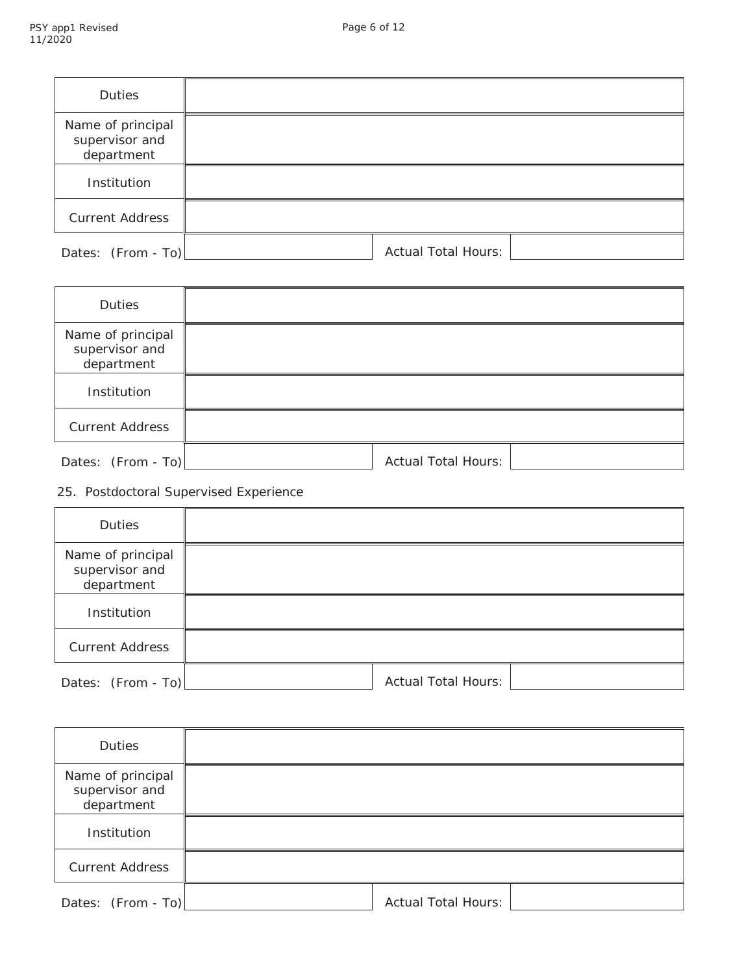| Duties                                            |                            |  |
|---------------------------------------------------|----------------------------|--|
| Name of principal<br>supervisor and<br>department |                            |  |
| Institution                                       |                            |  |
| <b>Current Address</b>                            |                            |  |
| Dates: (From - To)                                | <b>Actual Total Hours:</b> |  |

| <b>Duties</b>                                     |                            |
|---------------------------------------------------|----------------------------|
| Name of principal<br>supervisor and<br>department |                            |
| Institution                                       |                            |
| <b>Current Address</b>                            |                            |
| Dates: (From - To)                                | <b>Actual Total Hours:</b> |

# 25. Postdoctoral Supervised Experience

| Duties                                            |                            |
|---------------------------------------------------|----------------------------|
| Name of principal<br>supervisor and<br>department |                            |
| Institution                                       |                            |
| <b>Current Address</b>                            |                            |
| Dates: (From - To)                                | <b>Actual Total Hours:</b> |

| Duties                                            |                            |  |
|---------------------------------------------------|----------------------------|--|
| Name of principal<br>supervisor and<br>department |                            |  |
| Institution                                       |                            |  |
| <b>Current Address</b>                            |                            |  |
| Dates: (From - To)                                | <b>Actual Total Hours:</b> |  |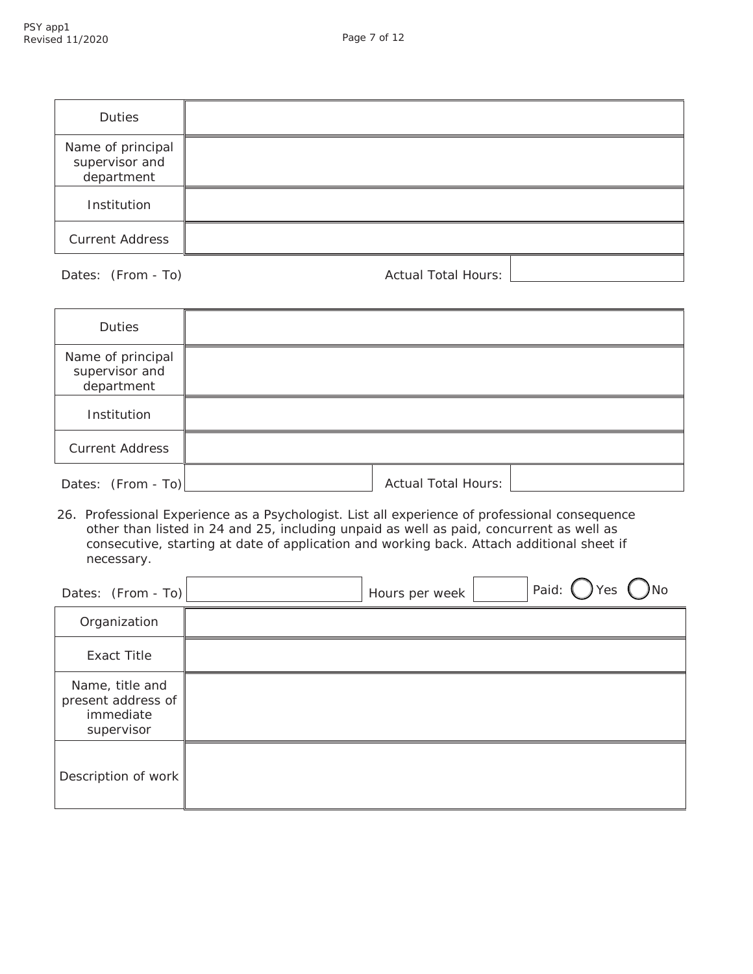| Duties                                            |  |
|---------------------------------------------------|--|
| Name of principal<br>supervisor and<br>department |  |
| Institution                                       |  |
| <b>Current Address</b>                            |  |
|                                                   |  |

Dates: (From - To) and a set of the Actual Total Hours:

| Duties                                            |                            |  |
|---------------------------------------------------|----------------------------|--|
| Name of principal<br>supervisor and<br>department |                            |  |
| Institution                                       |                            |  |
| <b>Current Address</b>                            |                            |  |
| Dates: (From - To)                                | <b>Actual Total Hours:</b> |  |

26. Professional Experience as a Psychologist. List all experience of professional consequence other than listed in 24 and 25, including unpaid as well as paid, concurrent as well as consecutive, starting at date of application and working back. Attach additional sheet if necessary.

| Dates: (From - To)                                               | Paid:<br>res<br>Hours per week |
|------------------------------------------------------------------|--------------------------------|
| Organization                                                     |                                |
| <b>Exact Title</b>                                               |                                |
| Name, title and<br>present address of<br>immediate<br>supervisor |                                |
| Description of work                                              |                                |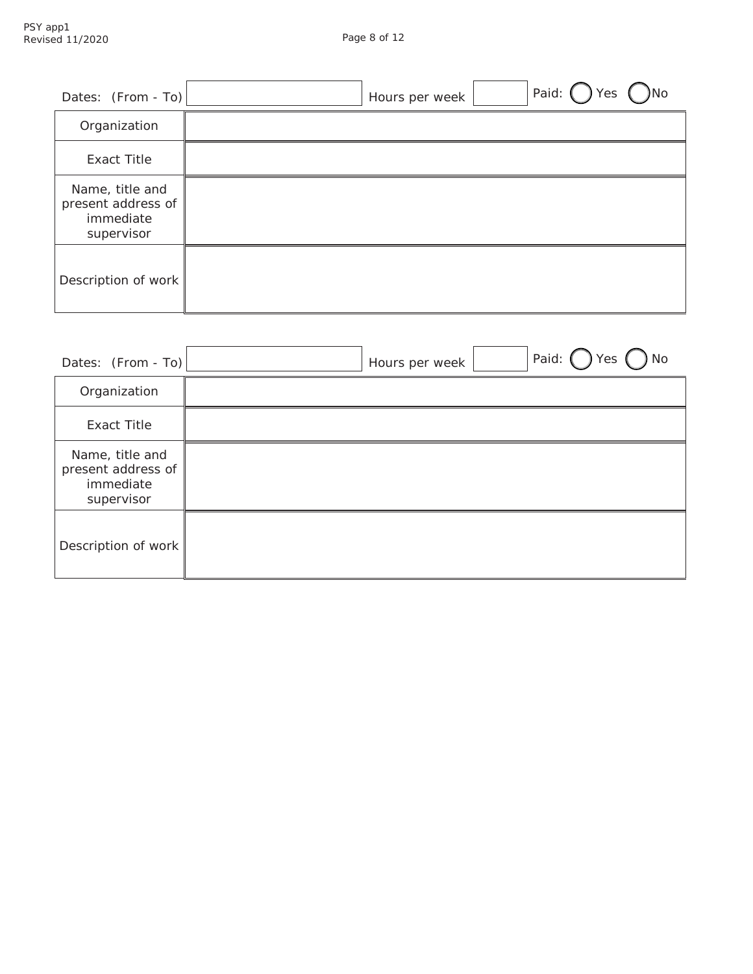| Dates: $(From - To)$                                             | Paid: (<br>Yes<br><b>No</b><br>Hours per week |
|------------------------------------------------------------------|-----------------------------------------------|
| Organization                                                     |                                               |
| <b>Exact Title</b>                                               |                                               |
| Name, title and<br>present address of<br>immediate<br>supervisor |                                               |
| Description of work                                              |                                               |

| Dates: $(From - To)$                                             | Paid:<br><b>No</b><br>Yes<br>Hours per week |
|------------------------------------------------------------------|---------------------------------------------|
| Organization                                                     |                                             |
| <b>Exact Title</b>                                               |                                             |
| Name, title and<br>present address of<br>immediate<br>supervisor |                                             |
| Description of work                                              |                                             |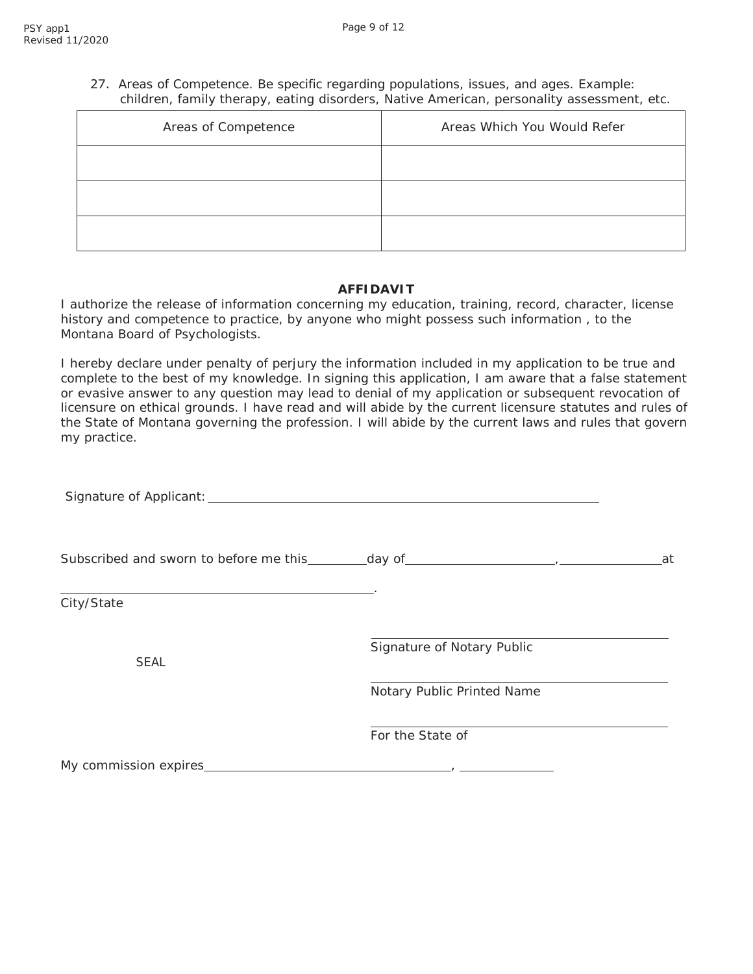27. Areas of Competence. Be specific regarding populations, issues, and ages. Example: children, family therapy, eating disorders, Native American, personality assessment, etc.

| Areas of Competence | Areas Which You Would Refer |  |
|---------------------|-----------------------------|--|
|                     |                             |  |
|                     |                             |  |
|                     |                             |  |

### **AFFIDAVIT**

I authorize the release of information concerning my education, training, record, character, license history and competence to practice, by anyone who might possess such information , to the Montana Board of Psychologists.

I hereby declare under penalty of perjury the information included in my application to be true and complete to the best of my knowledge. In signing this application, I am aware that a false statement or evasive answer to any question may lead to denial of my application or subsequent revocation of licensure on ethical grounds. I have read and will abide by the current licensure statutes and rules of the State of Montana governing the profession. I will abide by the current laws and rules that govern my practice.

| Subscribed and sworn to before me this ________day of ___________________________ |                            | at |
|-----------------------------------------------------------------------------------|----------------------------|----|
| City/State                                                                        |                            |    |
| <b>SEAL</b>                                                                       | Signature of Notary Public |    |
|                                                                                   | Notary Public Printed Name |    |
|                                                                                   | For the State of           |    |
| My commission expires_                                                            |                            |    |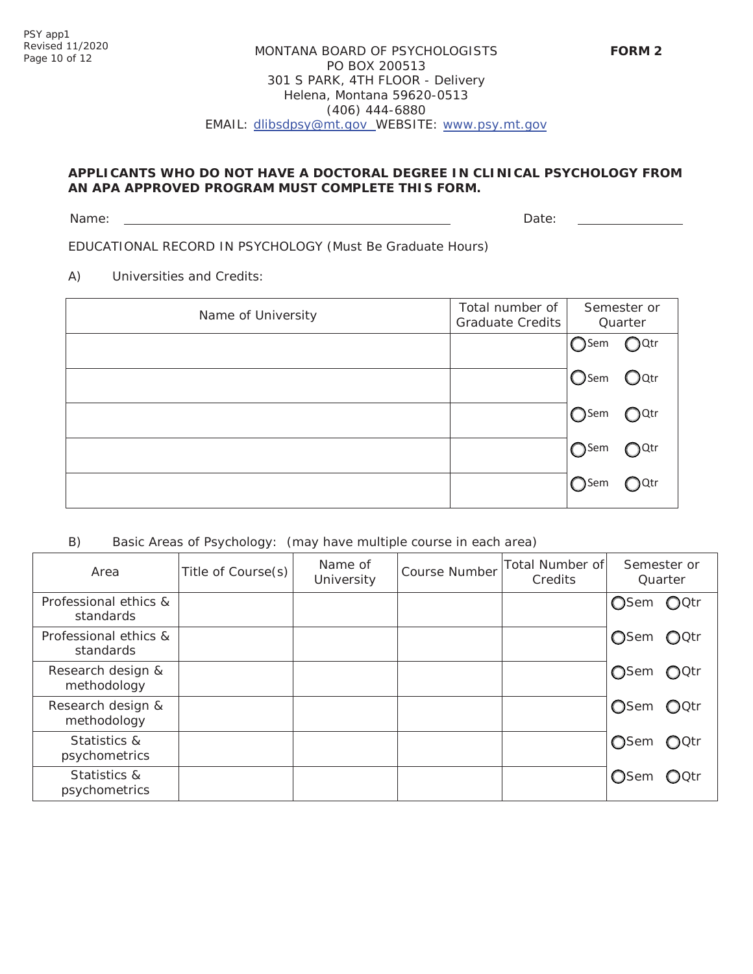# MONTANA BOARD OF PSYCHOLOGISTS PO BOX 200513 301 S PARK, 4TH FLOOR - Delivery Helena, Montana 59620-0513 (406) 444-6880 EMAIL: [dlibsdpsy@mt.gov](mailto:dlibsdpsy@mt.gov) WEBSITE: [www.psy.mt.gov](http://www.psy.mt.gov/)

# **APPLICANTS WHO DO NOT HAVE A DOCTORAL DEGREE IN CLINICAL PSYCHOLOGY FROM AN APA APPROVED PROGRAM MUST COMPLETE THIS FORM.**

Name: Date: Development of the contract of the contract of the contract of the contract of the Date:

EDUCATIONAL RECORD IN PSYCHOLOGY (Must Be Graduate Hours)

A) Universities and Credits:

| Name of University | Total number of<br><b>Graduate Credits</b> | Semester or<br>Quarter                                                                                                                                                                                                                             |                           |
|--------------------|--------------------------------------------|----------------------------------------------------------------------------------------------------------------------------------------------------------------------------------------------------------------------------------------------------|---------------------------|
|                    |                                            | $\bigcirc$ Sem                                                                                                                                                                                                                                     | $\bigcirc$ Qtr            |
|                    |                                            | <b>O</b> sem                                                                                                                                                                                                                                       | $\mathsf{O}^{\text{Qtr}}$ |
|                    |                                            | $\bigcirc$ Sem                                                                                                                                                                                                                                     | )Sem OQtr                 |
|                    |                                            | $\bigcirc$ Sem<br>e de la provincia del provincia del provincia del provincia del provincia del provincia del provincia del prov<br>En la provincia del provincia del provincia del provincia del provincia del provincia del provincia del provin | $\bigcirc$ Qtr            |
|                    |                                            | $\bigcap$ Sem                                                                                                                                                                                                                                      | <b>D</b> Qtr              |

# B) Basic Areas of Psychology: (may have multiple course in each area)

| Area                               | Title of Course(s) | Name of<br>University | Course Number | Total Number of<br>Credits | Semester or<br>Quarter         |
|------------------------------------|--------------------|-----------------------|---------------|----------------------------|--------------------------------|
| Professional ethics &<br>standards |                    |                       |               |                            | OSem OQtr                      |
| Professional ethics &<br>standards |                    |                       |               |                            | $OQ$ Qtr<br>◯Sem               |
| Research design &<br>methodology   |                    |                       |               |                            | <b>O</b> Sem<br>$QQ$ ctr       |
| Research design &<br>methodology   |                    |                       |               |                            | $QQ$ ctr<br>OSem               |
| Statistics &<br>psychometrics      |                    |                       |               |                            | ◯Sem<br>$\bigcirc$ Octr        |
| Statistics &<br>psychometrics      |                    |                       |               |                            | $\bigcirc$ Qtr<br><b>O</b> Sem |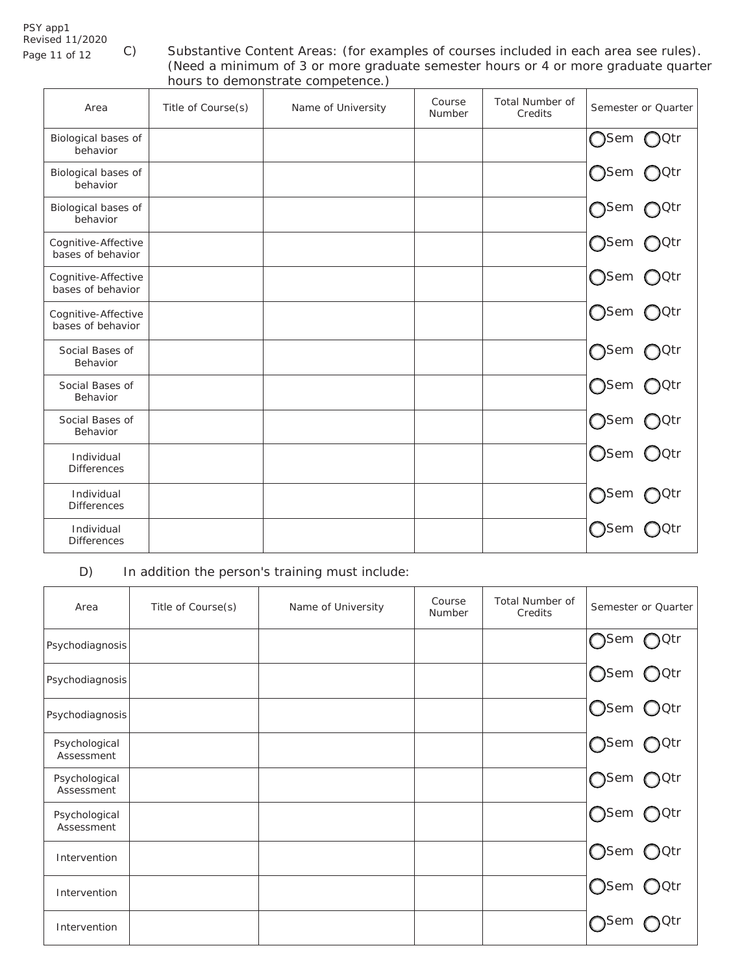# PSY app1 Revised 11/2020

Revised 11/2020<br>Page 11 of 12 C) Substantive Content Areas: (for examples of courses included in each area see rules). (Need a minimum of 3 or more graduate semester hours or 4 or more graduate quarter hours to demonstrate competence.)

| Area                                     | Title of Course(s) | Name of University | Course<br>Number | Total Number of<br>Credits | Semester or Quarter              |
|------------------------------------------|--------------------|--------------------|------------------|----------------------------|----------------------------------|
| Biological bases of<br>behavior          |                    |                    |                  |                            | ∩Qtr<br>$\bigcap$ Sem            |
| Biological bases of<br>behavior          |                    |                    |                  |                            | ◯Sem<br>$\bigcirc$ Qtr           |
| Biological bases of<br>behavior          |                    |                    |                  |                            | ∩Sem<br>∩Qtr                     |
| Cognitive-Affective<br>bases of behavior |                    |                    |                  |                            | ∩Sem<br>)Qtr                     |
| Cognitive-Affective<br>bases of behavior |                    |                    |                  |                            | $\bigcirc$ Sem<br>OQtr           |
| Cognitive-Affective<br>bases of behavior |                    |                    |                  |                            | $\bigcirc$ Sem<br>∩Qtr           |
| Social Bases of<br>Behavior              |                    |                    |                  |                            | ∩Sem<br>○Qtr                     |
| Social Bases of<br>Behavior              |                    |                    |                  |                            | $\bigcirc$ Sem<br>∩Qtr           |
| Social Bases of<br>Behavior              |                    |                    |                  |                            | ∩Sem<br><b>)</b> Qtr             |
| Individual<br><b>Differences</b>         |                    |                    |                  |                            | $\bigcirc$ Sem<br>$\bigcirc$ Qtr |
| Individual<br><b>Differences</b>         |                    |                    |                  |                            | $\bigcap$ Sem<br>0tr)            |
| Individual<br><b>Differences</b>         |                    |                    |                  |                            | <b>Sem</b>                       |

D) In addition the person's training must include:

| Area                        | Title of Course(s) | Name of University | Course<br>Number | <b>Total Number of</b><br>Credits | Semester or Quarter       |
|-----------------------------|--------------------|--------------------|------------------|-----------------------------------|---------------------------|
| Psychodiagnosis             |                    |                    |                  |                                   | ∩Sem<br>$O^{Qtr}$         |
| Psychodiagnosis             |                    |                    |                  |                                   | $\bigcirc$ Qtr<br>◯Sem    |
| Psychodiagnosis             |                    |                    |                  |                                   | Osem OQtr                 |
| Psychological<br>Assessment |                    |                    |                  |                                   | ∩Sem<br>$O^{Qtr}$         |
| Psychological<br>Assessment |                    |                    |                  |                                   | <b>O</b> Sem<br>$O^{Qtr}$ |
| Psychological<br>Assessment |                    |                    |                  |                                   | ○Sem ○Qtr                 |
| Intervention                |                    |                    |                  |                                   | ○Sem ○Qtr                 |
| Intervention                |                    |                    |                  |                                   | ◯Sem<br>$\bigcirc$ Qtr    |
| Intervention                |                    |                    |                  |                                   | sem                       |